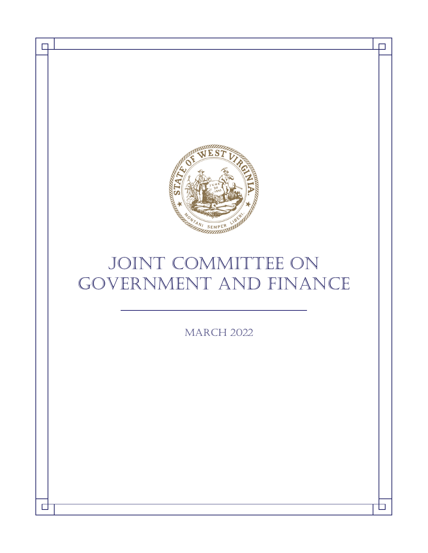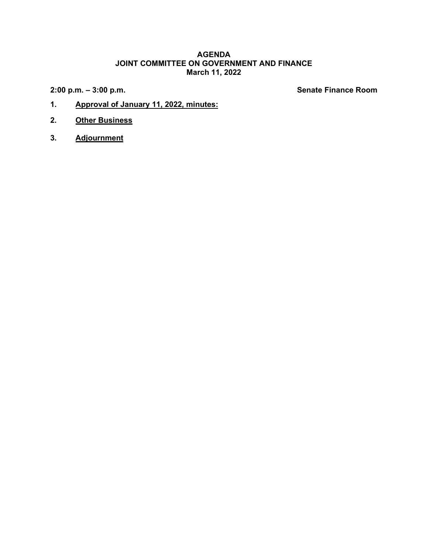### **AGENDA JOINT COMMITTEE ON GOVERNMENT AND FINANCE March 11, 2022**

**2:00 p.m. – 3:00 p.m. Senate Finance Room**

- **1. Approval of January 11, 2022, minutes:**
- **2. Other Business**
- **3. Adjournment**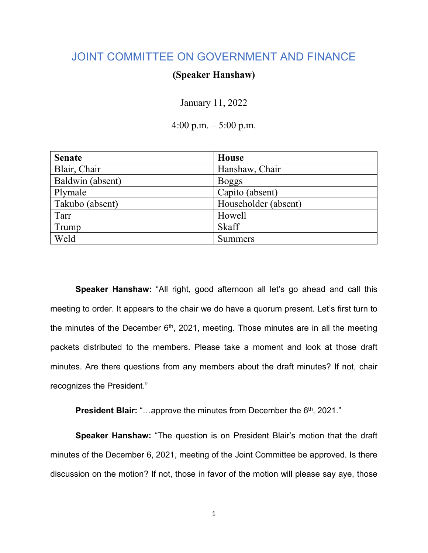# JOINT COMMITTEE ON GOVERNMENT AND FINANCE

# **(Speaker Hanshaw)**

January 11, 2022

4:00 p.m. – 5:00 p.m.

| <b>Senate</b>    | House                |
|------------------|----------------------|
| Blair, Chair     | Hanshaw, Chair       |
| Baldwin (absent) | <b>Boggs</b>         |
| Plymale          | Capito (absent)      |
| Takubo (absent)  | Householder (absent) |
| Tarr             | Howell               |
| Trump            | <b>Skaff</b>         |
| Weld             | <b>Summers</b>       |

**Speaker Hanshaw:** "All right, good afternoon all let's go ahead and call this meeting to order. It appears to the chair we do have a quorum present. Let's first turn to the minutes of the December  $6<sup>th</sup>$ , 2021, meeting. Those minutes are in all the meeting packets distributed to the members. Please take a moment and look at those draft minutes. Are there questions from any members about the draft minutes? If not, chair recognizes the President."

**President Blair:** "...approve the minutes from December the 6<sup>th</sup>, 2021."

**Speaker Hanshaw:** "The question is on President Blair's motion that the draft minutes of the December 6, 2021, meeting of the Joint Committee be approved. Is there discussion on the motion? If not, those in favor of the motion will please say aye, those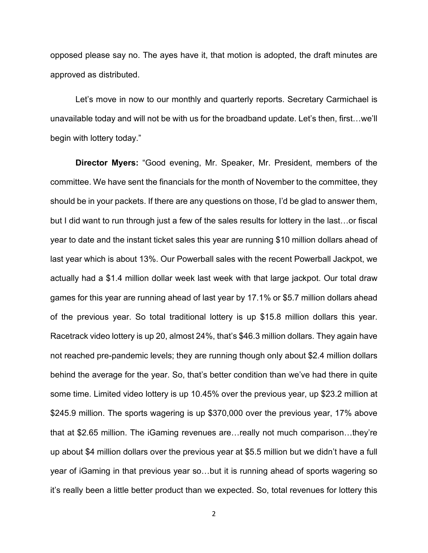opposed please say no. The ayes have it, that motion is adopted, the draft minutes are approved as distributed.

Let's move in now to our monthly and quarterly reports. Secretary Carmichael is unavailable today and will not be with us for the broadband update. Let's then, first…we'll begin with lottery today."

**Director Myers:** "Good evening, Mr. Speaker, Mr. President, members of the committee. We have sent the financials for the month of November to the committee, they should be in your packets. If there are any questions on those, I'd be glad to answer them, but I did want to run through just a few of the sales results for lottery in the last…or fiscal year to date and the instant ticket sales this year are running \$10 million dollars ahead of last year which is about 13%. Our Powerball sales with the recent Powerball Jackpot, we actually had a \$1.4 million dollar week last week with that large jackpot. Our total draw games for this year are running ahead of last year by 17.1% or \$5.7 million dollars ahead of the previous year. So total traditional lottery is up \$15.8 million dollars this year. Racetrack video lottery is up 20, almost 24%, that's \$46.3 million dollars. They again have not reached pre-pandemic levels; they are running though only about \$2.4 million dollars behind the average for the year. So, that's better condition than we've had there in quite some time. Limited video lottery is up 10.45% over the previous year, up \$23.2 million at \$245.9 million. The sports wagering is up \$370,000 over the previous year, 17% above that at \$2.65 million. The iGaming revenues are…really not much comparison…they're up about \$4 million dollars over the previous year at \$5.5 million but we didn't have a full year of iGaming in that previous year so…but it is running ahead of sports wagering so it's really been a little better product than we expected. So, total revenues for lottery this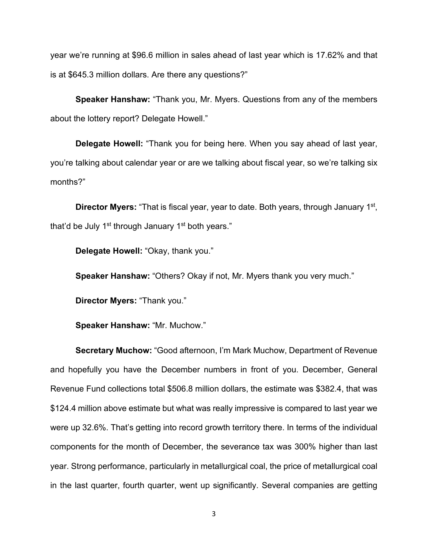year we're running at \$96.6 million in sales ahead of last year which is 17.62% and that is at \$645.3 million dollars. Are there any questions?"

**Speaker Hanshaw:** "Thank you, Mr. Myers. Questions from any of the members about the lottery report? Delegate Howell."

**Delegate Howell:** "Thank you for being here. When you say ahead of last year, you're talking about calendar year or are we talking about fiscal year, so we're talking six months?"

**Director Myers:** "That is fiscal year, year to date. Both years, through January 1<sup>st</sup>, that'd be July 1<sup>st</sup> through January 1<sup>st</sup> both years."

**Delegate Howell:** "Okay, thank you."

**Speaker Hanshaw:** "Others? Okay if not, Mr. Myers thank you very much."

**Director Myers:** "Thank you."

**Speaker Hanshaw:** "Mr. Muchow."

**Secretary Muchow:** "Good afternoon, I'm Mark Muchow, Department of Revenue and hopefully you have the December numbers in front of you. December, General Revenue Fund collections total \$506.8 million dollars, the estimate was \$382.4, that was \$124.4 million above estimate but what was really impressive is compared to last year we were up 32.6%. That's getting into record growth territory there. In terms of the individual components for the month of December, the severance tax was 300% higher than last year. Strong performance, particularly in metallurgical coal, the price of metallurgical coal in the last quarter, fourth quarter, went up significantly. Several companies are getting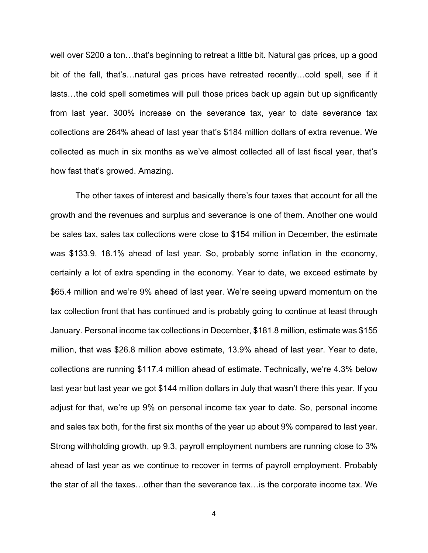well over \$200 a ton…that's beginning to retreat a little bit. Natural gas prices, up a good bit of the fall, that's…natural gas prices have retreated recently…cold spell, see if it lasts…the cold spell sometimes will pull those prices back up again but up significantly from last year. 300% increase on the severance tax, year to date severance tax collections are 264% ahead of last year that's \$184 million dollars of extra revenue. We collected as much in six months as we've almost collected all of last fiscal year, that's how fast that's growed. Amazing.

The other taxes of interest and basically there's four taxes that account for all the growth and the revenues and surplus and severance is one of them. Another one would be sales tax, sales tax collections were close to \$154 million in December, the estimate was \$133.9, 18.1% ahead of last year. So, probably some inflation in the economy, certainly a lot of extra spending in the economy. Year to date, we exceed estimate by \$65.4 million and we're 9% ahead of last year. We're seeing upward momentum on the tax collection front that has continued and is probably going to continue at least through January. Personal income tax collections in December, \$181.8 million, estimate was \$155 million, that was \$26.8 million above estimate, 13.9% ahead of last year. Year to date, collections are running \$117.4 million ahead of estimate. Technically, we're 4.3% below last year but last year we got \$144 million dollars in July that wasn't there this year. If you adjust for that, we're up 9% on personal income tax year to date. So, personal income and sales tax both, for the first six months of the year up about 9% compared to last year. Strong withholding growth, up 9.3, payroll employment numbers are running close to 3% ahead of last year as we continue to recover in terms of payroll employment. Probably the star of all the taxes…other than the severance tax…is the corporate income tax. We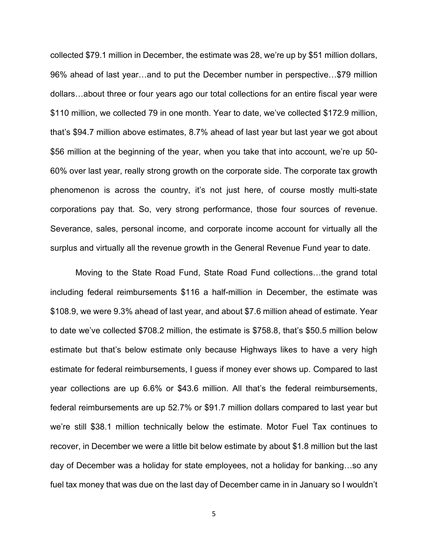collected \$79.1 million in December, the estimate was 28, we're up by \$51 million dollars, 96% ahead of last year…and to put the December number in perspective…\$79 million dollars…about three or four years ago our total collections for an entire fiscal year were \$110 million, we collected 79 in one month. Year to date, we've collected \$172.9 million, that's \$94.7 million above estimates, 8.7% ahead of last year but last year we got about \$56 million at the beginning of the year, when you take that into account, we're up 50- 60% over last year, really strong growth on the corporate side. The corporate tax growth phenomenon is across the country, it's not just here, of course mostly multi-state corporations pay that. So, very strong performance, those four sources of revenue. Severance, sales, personal income, and corporate income account for virtually all the surplus and virtually all the revenue growth in the General Revenue Fund year to date.

Moving to the State Road Fund, State Road Fund collections…the grand total including federal reimbursements \$116 a half-million in December, the estimate was \$108.9, we were 9.3% ahead of last year, and about \$7.6 million ahead of estimate. Year to date we've collected \$708.2 million, the estimate is \$758.8, that's \$50.5 million below estimate but that's below estimate only because Highways likes to have a very high estimate for federal reimbursements, I guess if money ever shows up. Compared to last year collections are up 6.6% or \$43.6 million. All that's the federal reimbursements, federal reimbursements are up 52.7% or \$91.7 million dollars compared to last year but we're still \$38.1 million technically below the estimate. Motor Fuel Tax continues to recover, in December we were a little bit below estimate by about \$1.8 million but the last day of December was a holiday for state employees, not a holiday for banking…so any fuel tax money that was due on the last day of December came in in January so I wouldn't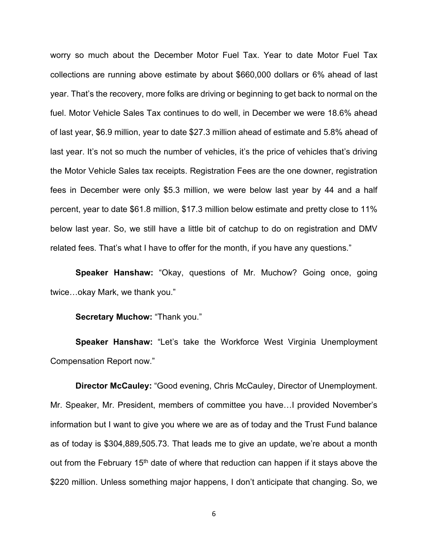worry so much about the December Motor Fuel Tax. Year to date Motor Fuel Tax collections are running above estimate by about \$660,000 dollars or 6% ahead of last year. That's the recovery, more folks are driving or beginning to get back to normal on the fuel. Motor Vehicle Sales Tax continues to do well, in December we were 18.6% ahead of last year, \$6.9 million, year to date \$27.3 million ahead of estimate and 5.8% ahead of last year. It's not so much the number of vehicles, it's the price of vehicles that's driving the Motor Vehicle Sales tax receipts. Registration Fees are the one downer, registration fees in December were only \$5.3 million, we were below last year by 44 and a half percent, year to date \$61.8 million, \$17.3 million below estimate and pretty close to 11% below last year. So, we still have a little bit of catchup to do on registration and DMV related fees. That's what I have to offer for the month, if you have any questions."

**Speaker Hanshaw:** "Okay, questions of Mr. Muchow? Going once, going twice…okay Mark, we thank you."

#### **Secretary Muchow:** "Thank you."

**Speaker Hanshaw:** "Let's take the Workforce West Virginia Unemployment Compensation Report now."

**Director McCauley:** "Good evening, Chris McCauley, Director of Unemployment. Mr. Speaker, Mr. President, members of committee you have…I provided November's information but I want to give you where we are as of today and the Trust Fund balance as of today is \$304,889,505.73. That leads me to give an update, we're about a month out from the February 15<sup>th</sup> date of where that reduction can happen if it stays above the \$220 million. Unless something major happens, I don't anticipate that changing. So, we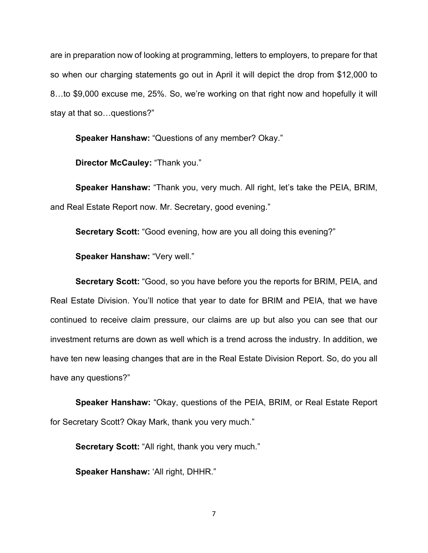are in preparation now of looking at programming, letters to employers, to prepare for that so when our charging statements go out in April it will depict the drop from \$12,000 to 8…to \$9,000 excuse me, 25%. So, we're working on that right now and hopefully it will stay at that so…questions?"

**Speaker Hanshaw:** "Questions of any member? Okay."

**Director McCauley:** "Thank you."

**Speaker Hanshaw:** "Thank you, very much. All right, let's take the PEIA, BRIM, and Real Estate Report now. Mr. Secretary, good evening."

**Secretary Scott:** "Good evening, how are you all doing this evening?"

**Speaker Hanshaw:** "Very well."

**Secretary Scott:** "Good, so you have before you the reports for BRIM, PEIA, and Real Estate Division. You'll notice that year to date for BRIM and PEIA, that we have continued to receive claim pressure, our claims are up but also you can see that our investment returns are down as well which is a trend across the industry. In addition, we have ten new leasing changes that are in the Real Estate Division Report. So, do you all have any questions?"

**Speaker Hanshaw:** "Okay, questions of the PEIA, BRIM, or Real Estate Report for Secretary Scott? Okay Mark, thank you very much."

**Secretary Scott:** "All right, thank you very much."

**Speaker Hanshaw:** 'All right, DHHR."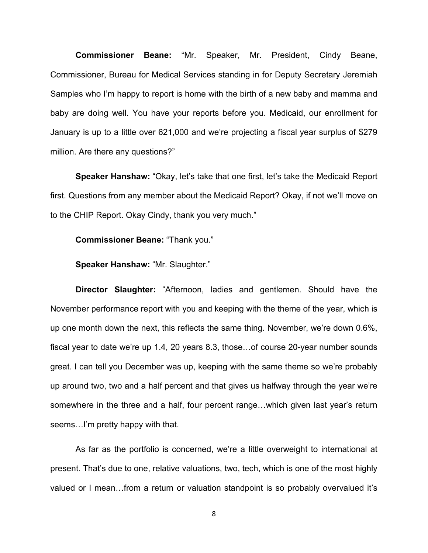**Commissioner Beane:** "Mr. Speaker, Mr. President, Cindy Beane, Commissioner, Bureau for Medical Services standing in for Deputy Secretary Jeremiah Samples who I'm happy to report is home with the birth of a new baby and mamma and baby are doing well. You have your reports before you. Medicaid, our enrollment for January is up to a little over 621,000 and we're projecting a fiscal year surplus of \$279 million. Are there any questions?"

**Speaker Hanshaw:** "Okay, let's take that one first, let's take the Medicaid Report first. Questions from any member about the Medicaid Report? Okay, if not we'll move on to the CHIP Report. Okay Cindy, thank you very much."

**Commissioner Beane:** "Thank you."

**Speaker Hanshaw:** "Mr. Slaughter."

**Director Slaughter:** "Afternoon, ladies and gentlemen. Should have the November performance report with you and keeping with the theme of the year, which is up one month down the next, this reflects the same thing. November, we're down 0.6%, fiscal year to date we're up 1.4, 20 years 8.3, those…of course 20-year number sounds great. I can tell you December was up, keeping with the same theme so we're probably up around two, two and a half percent and that gives us halfway through the year we're somewhere in the three and a half, four percent range…which given last year's return seems…I'm pretty happy with that.

As far as the portfolio is concerned, we're a little overweight to international at present. That's due to one, relative valuations, two, tech, which is one of the most highly valued or I mean…from a return or valuation standpoint is so probably overvalued it's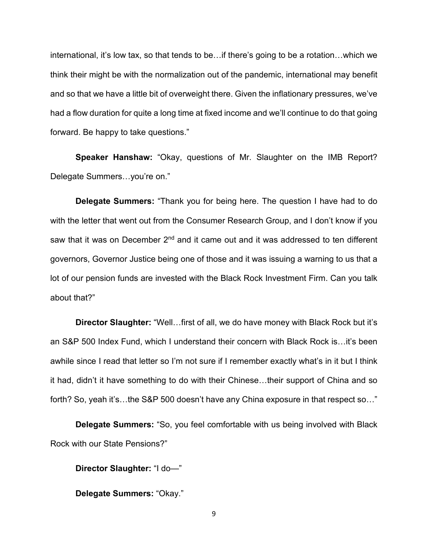international, it's low tax, so that tends to be…if there's going to be a rotation…which we think their might be with the normalization out of the pandemic, international may benefit and so that we have a little bit of overweight there. Given the inflationary pressures, we've had a flow duration for quite a long time at fixed income and we'll continue to do that going forward. Be happy to take questions."

**Speaker Hanshaw:** "Okay, questions of Mr. Slaughter on the IMB Report? Delegate Summers…you're on."

**Delegate Summers:** "Thank you for being here. The question I have had to do with the letter that went out from the Consumer Research Group, and I don't know if you saw that it was on December 2<sup>nd</sup> and it came out and it was addressed to ten different governors, Governor Justice being one of those and it was issuing a warning to us that a lot of our pension funds are invested with the Black Rock Investment Firm. Can you talk about that?"

**Director Slaughter:** "Well…first of all, we do have money with Black Rock but it's an S&P 500 Index Fund, which I understand their concern with Black Rock is…it's been awhile since I read that letter so I'm not sure if I remember exactly what's in it but I think it had, didn't it have something to do with their Chinese…their support of China and so forth? So, yeah it's...the S&P 500 doesn't have any China exposure in that respect so..."

**Delegate Summers:** "So, you feel comfortable with us being involved with Black Rock with our State Pensions?"

**Director Slaughter:** "I do—"

**Delegate Summers:** "Okay."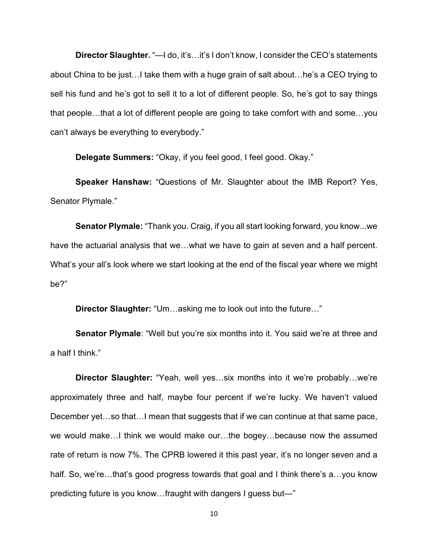**Director Slaughter.** "—I do, it's…it's I don't know, I consider the CEO's statements about China to be just…I take them with a huge grain of salt about…he's a CEO trying to sell his fund and he's got to sell it to a lot of different people. So, he's got to say things that people…that a lot of different people are going to take comfort with and some…you can't always be everything to everybody."

**Delegate Summers:** "Okay, if you feel good, I feel good. Okay."

**Speaker Hanshaw:** "Questions of Mr. Slaughter about the IMB Report? Yes, Senator Plymale."

**Senator Plymale:** "Thank you. Craig, if you all start looking forward, you know...we have the actuarial analysis that we…what we have to gain at seven and a half percent. What's your all's look where we start looking at the end of the fiscal year where we might be?"

**Director Slaughter:** "Um…asking me to look out into the future…"

**Senator Plymale**: "Well but you're six months into it. You said we're at three and a half I think."

**Director Slaughter:** "Yeah, well yes…six months into it we're probably…we're approximately three and half, maybe four percent if we're lucky. We haven't valued December yet…so that…I mean that suggests that if we can continue at that same pace, we would make…I think we would make our…the bogey…because now the assumed rate of return is now 7%. The CPRB lowered it this past year, it's no longer seven and a half. So, we're...that's good progress towards that goal and I think there's a...you know predicting future is you know…fraught with dangers I guess but—"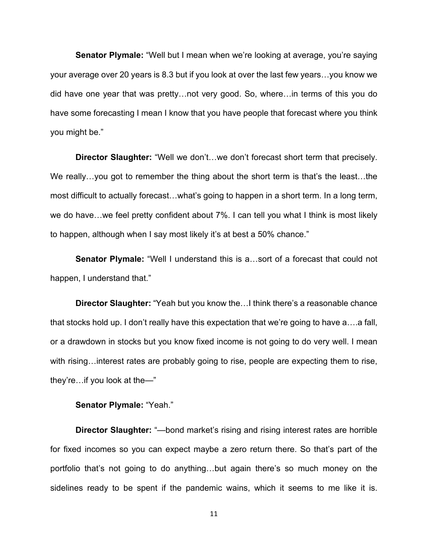**Senator Plymale:** "Well but I mean when we're looking at average, you're saying your average over 20 years is 8.3 but if you look at over the last few years…you know we did have one year that was pretty…not very good. So, where…in terms of this you do have some forecasting I mean I know that you have people that forecast where you think you might be."

**Director Slaughter:** "Well we don't…we don't forecast short term that precisely. We really...you got to remember the thing about the short term is that's the least...the most difficult to actually forecast…what's going to happen in a short term. In a long term, we do have…we feel pretty confident about 7%. I can tell you what I think is most likely to happen, although when I say most likely it's at best a 50% chance."

**Senator Plymale:** "Well I understand this is a…sort of a forecast that could not happen, I understand that."

**Director Slaughter:** "Yeah but you know the…I think there's a reasonable chance that stocks hold up. I don't really have this expectation that we're going to have a….a fall, or a drawdown in stocks but you know fixed income is not going to do very well. I mean with rising...interest rates are probably going to rise, people are expecting them to rise, they're…if you look at the—"

### **Senator Plymale:** "Yeah."

**Director Slaughter:** "—bond market's rising and rising interest rates are horrible for fixed incomes so you can expect maybe a zero return there. So that's part of the portfolio that's not going to do anything…but again there's so much money on the sidelines ready to be spent if the pandemic wains, which it seems to me like it is.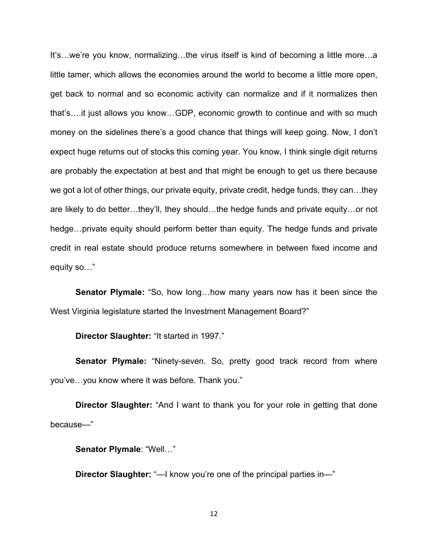It's…we're you know, normalizing…the virus itself is kind of becoming a little more…a little tamer, which allows the economies around the world to become a little more open, get back to normal and so economic activity can normalize and if it normalizes then that's….it just allows you know…GDP, economic growth to continue and with so much money on the sidelines there's a good chance that things will keep going. Now, I don't expect huge returns out of stocks this coming year. You know, I think single digit returns are probably the expectation at best and that might be enough to get us there because we got a lot of other things, our private equity, private credit, hedge funds, they can…they are likely to do better…they'll, they should…the hedge funds and private equity…or not hedge…private equity should perform better than equity. The hedge funds and private credit in real estate should produce returns somewhere in between fixed income and equity so…"

**Senator Plymale:** "So, how long…how many years now has it been since the West Virginia legislature started the Investment Management Board?"

**Director Slaughter:** "It started in 1997."

**Senator Plymale:** "Ninety-seven. So, pretty good track record from where you've…you know where it was before. Thank you."

**Director Slaughter:** "And I want to thank you for your role in getting that done because—"

**Senator Plymale**: "Well…"

**Director Slaughter:** "—I know you're one of the principal parties in—"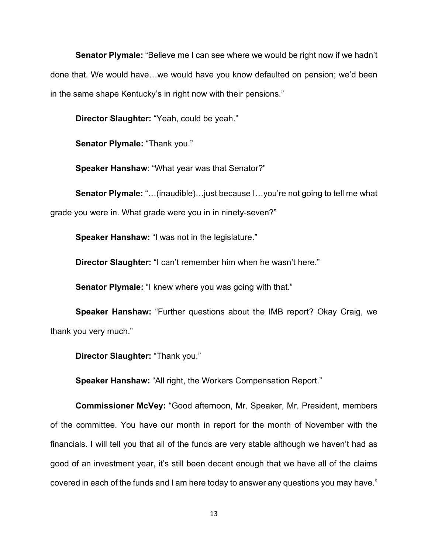**Senator Plymale:** "Believe me I can see where we would be right now if we hadn't done that. We would have…we would have you know defaulted on pension; we'd been in the same shape Kentucky's in right now with their pensions."

**Director Slaughter:** "Yeah, could be yeah."

**Senator Plymale:** "Thank you."

**Speaker Hanshaw**: "What year was that Senator?"

**Senator Plymale:** "…(inaudible)…just because I…you're not going to tell me what grade you were in. What grade were you in in ninety-seven?"

**Speaker Hanshaw:** "I was not in the legislature."

**Director Slaughter:** "I can't remember him when he wasn't here."

**Senator Plymale:** "I knew where you was going with that."

**Speaker Hanshaw:** "Further questions about the IMB report? Okay Craig, we thank you very much."

**Director Slaughter:** "Thank you."

**Speaker Hanshaw:** "All right, the Workers Compensation Report."

**Commissioner McVey:** "Good afternoon, Mr. Speaker, Mr. President, members of the committee. You have our month in report for the month of November with the financials. I will tell you that all of the funds are very stable although we haven't had as good of an investment year, it's still been decent enough that we have all of the claims covered in each of the funds and I am here today to answer any questions you may have."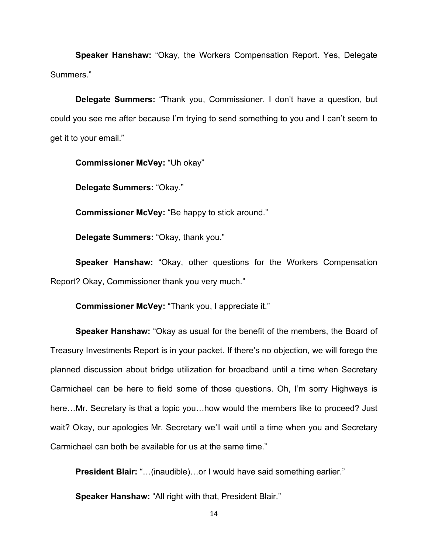**Speaker Hanshaw:** "Okay, the Workers Compensation Report. Yes, Delegate Summers."

**Delegate Summers:** "Thank you, Commissioner. I don't have a question, but could you see me after because I'm trying to send something to you and I can't seem to get it to your email."

**Commissioner McVey:** "Uh okay"

**Delegate Summers:** "Okay."

**Commissioner McVey:** "Be happy to stick around."

**Delegate Summers:** "Okay, thank you."

**Speaker Hanshaw:** "Okay, other questions for the Workers Compensation Report? Okay, Commissioner thank you very much."

**Commissioner McVey:** "Thank you, I appreciate it."

**Speaker Hanshaw:** "Okay as usual for the benefit of the members, the Board of Treasury Investments Report is in your packet. If there's no objection, we will forego the planned discussion about bridge utilization for broadband until a time when Secretary Carmichael can be here to field some of those questions. Oh, I'm sorry Highways is here…Mr. Secretary is that a topic you…how would the members like to proceed? Just wait? Okay, our apologies Mr. Secretary we'll wait until a time when you and Secretary Carmichael can both be available for us at the same time."

**President Blair:** "…(inaudible)…or I would have said something earlier."

**Speaker Hanshaw:** "All right with that, President Blair."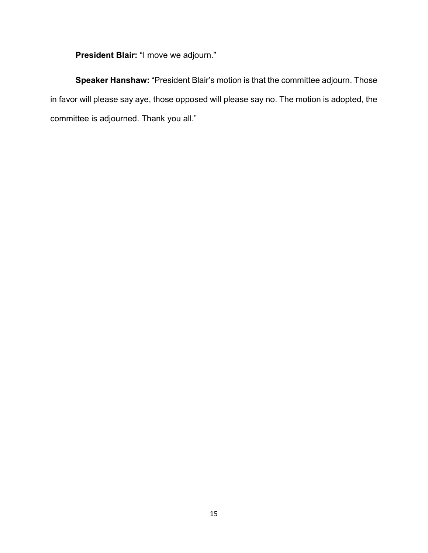**President Blair:** "I move we adjourn."

**Speaker Hanshaw:** "President Blair's motion is that the committee adjourn. Those in favor will please say aye, those opposed will please say no. The motion is adopted, the committee is adjourned. Thank you all."